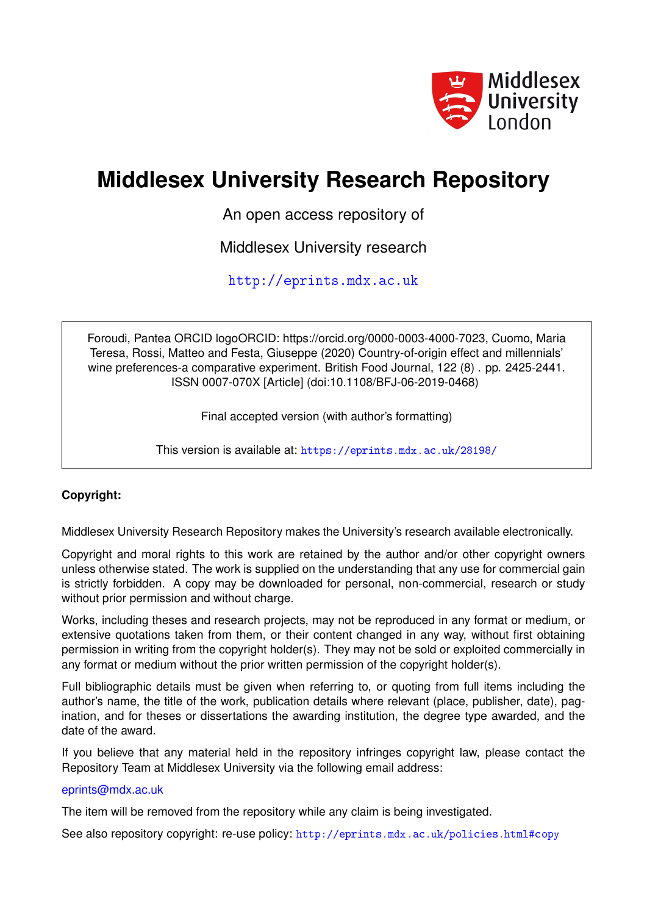

# **Middlesex University Research Repository**

An open access repository of

Middlesex University research

<http://eprints.mdx.ac.uk>

Foroudi, Pantea ORCID logoORCID: https://orcid.org/0000-0003-4000-7023, Cuomo, Maria Teresa, Rossi, Matteo and Festa, Giuseppe (2020) Country-of-origin effect and millennials' wine preferences-a comparative experiment. British Food Journal, 122 (8) . pp. 2425-2441. ISSN 0007-070X [Article] (doi:10.1108/BFJ-06-2019-0468)

Final accepted version (with author's formatting)

This version is available at: <https://eprints.mdx.ac.uk/28198/>

# **Copyright:**

Middlesex University Research Repository makes the University's research available electronically.

Copyright and moral rights to this work are retained by the author and/or other copyright owners unless otherwise stated. The work is supplied on the understanding that any use for commercial gain is strictly forbidden. A copy may be downloaded for personal, non-commercial, research or study without prior permission and without charge.

Works, including theses and research projects, may not be reproduced in any format or medium, or extensive quotations taken from them, or their content changed in any way, without first obtaining permission in writing from the copyright holder(s). They may not be sold or exploited commercially in any format or medium without the prior written permission of the copyright holder(s).

Full bibliographic details must be given when referring to, or quoting from full items including the author's name, the title of the work, publication details where relevant (place, publisher, date), pagination, and for theses or dissertations the awarding institution, the degree type awarded, and the date of the award.

If you believe that any material held in the repository infringes copyright law, please contact the Repository Team at Middlesex University via the following email address:

# [eprints@mdx.ac.uk](mailto:eprints@mdx.ac.uk)

The item will be removed from the repository while any claim is being investigated.

See also repository copyright: re-use policy: <http://eprints.mdx.ac.uk/policies.html#copy>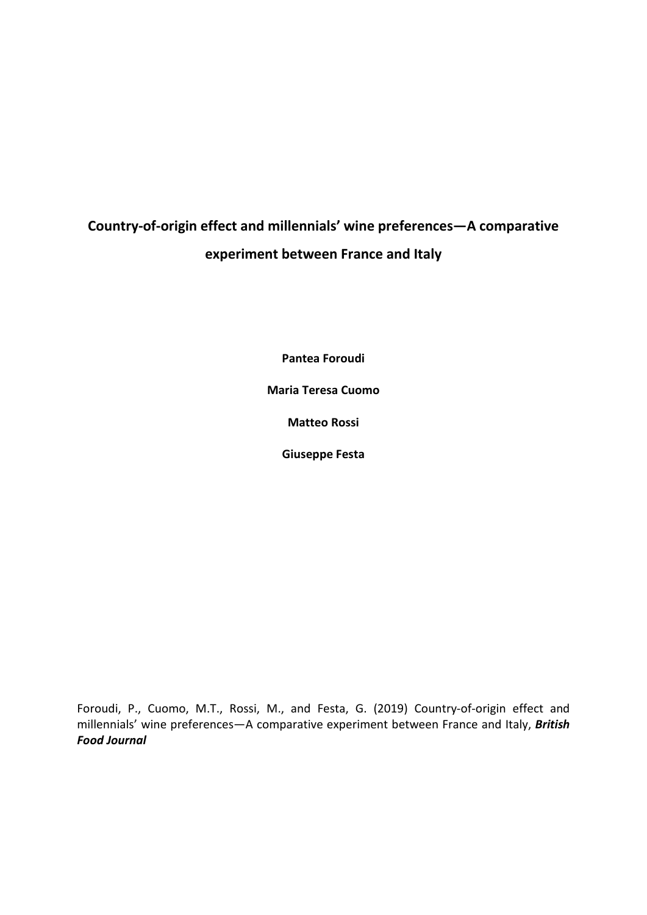# **Country-of-origin effect and millennials' wine preferences—A comparative experiment between France and Italy**

**Pantea Foroudi**

**Maria Teresa Cuomo**

**Matteo Rossi**

**Giuseppe Festa**

Foroudi, P., Cuomo, M.T., Rossi, M., and Festa, G. (2019) Country-of-origin effect and millennials' wine preferences—A comparative experiment between France and Italy, *British Food Journal*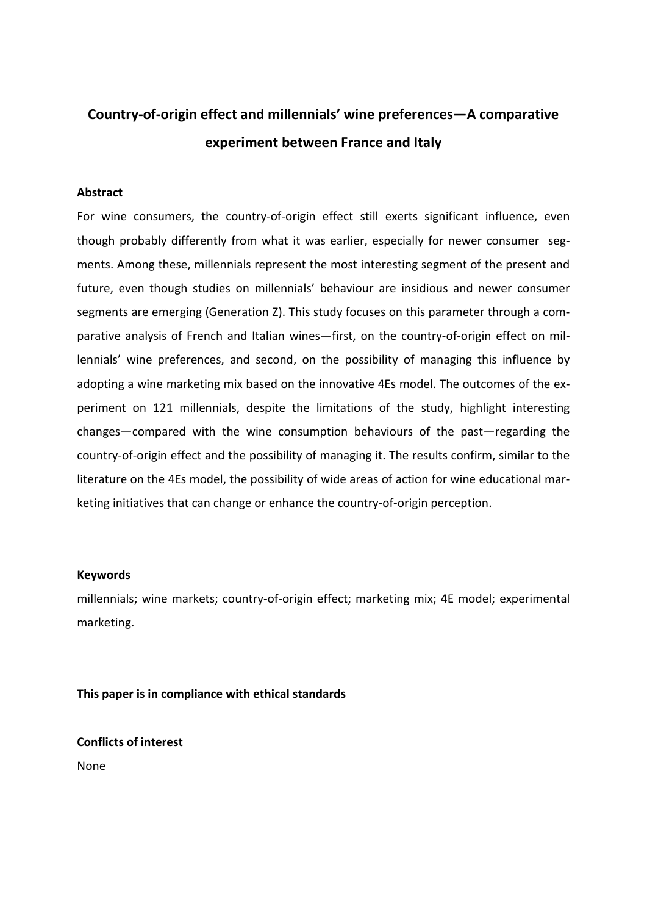# **Country-of-origin effect and millennials' wine preferences—A comparative experiment between France and Italy**

# **Abstract**

For wine consumers, the country-of-origin effect still exerts significant influence, even though probably differently from what it was earlier, especially for newer consumer segments. Among these, millennials represent the most interesting segment of the present and future, even though studies on millennials' behaviour are insidious and newer consumer segments are emerging (Generation Z). This study focuses on this parameter through a comparative analysis of French and Italian wines—first, on the country-of-origin effect on millennials' wine preferences, and second, on the possibility of managing this influence by adopting a wine marketing mix based on the innovative 4Es model. The outcomes of the experiment on 121 millennials, despite the limitations of the study, highlight interesting changes—compared with the wine consumption behaviours of the past—regarding the country-of-origin effect and the possibility of managing it. The results confirm, similar to the literature on the 4Es model, the possibility of wide areas of action for wine educational marketing initiatives that can change or enhance the country-of-origin perception.

# **Keywords**

millennials; wine markets; country-of-origin effect; marketing mix; 4E model; experimental marketing.

**This paper is in compliance with ethical standards**

**Conflicts of interest** None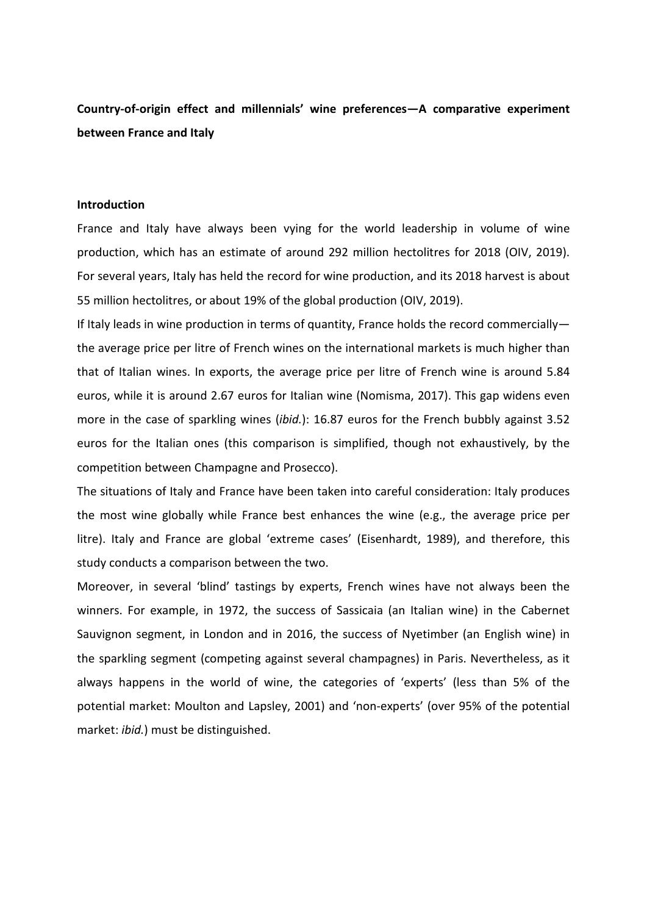# **Country-of-origin effect and millennials' wine preferences—A comparative experiment between France and Italy**

#### **Introduction**

France and Italy have always been vying for the world leadership in volume of wine production, which has an estimate of around 292 million hectolitres for 2018 (OIV, 2019). For several years, Italy has held the record for wine production, and its 2018 harvest is about 55 million hectolitres, or about 19% of the global production (OIV, 2019).

If Italy leads in wine production in terms of quantity, France holds the record commercially the average price per litre of French wines on the international markets is much higher than that of Italian wines. In exports, the average price per litre of French wine is around 5.84 euros, while it is around 2.67 euros for Italian wine (Nomisma, 2017). This gap widens even more in the case of sparkling wines (*ibid.*): 16.87 euros for the French bubbly against 3.52 euros for the Italian ones (this comparison is simplified, though not exhaustively, by the competition between Champagne and Prosecco).

The situations of Italy and France have been taken into careful consideration: Italy produces the most wine globally while France best enhances the wine (e.g., the average price per litre). Italy and France are global 'extreme cases' (Eisenhardt, 1989), and therefore, this study conducts a comparison between the two.

Moreover, in several 'blind' tastings by experts, French wines have not always been the winners. For example, in 1972, the success of Sassicaia (an Italian wine) in the Cabernet Sauvignon segment, in London and in 2016, the success of Nyetimber (an English wine) in the sparkling segment (competing against several champagnes) in Paris. Nevertheless, as it always happens in the world of wine, the categories of 'experts' (less than 5% of the potential market: Moulton and Lapsley, 2001) and 'non-experts' (over 95% of the potential market: *ibid.*) must be distinguished.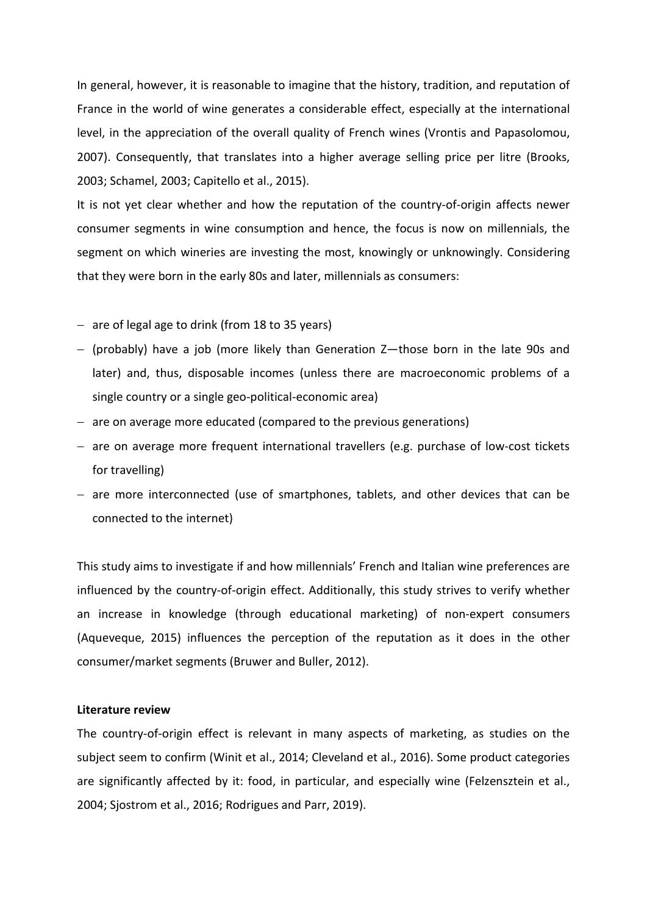In general, however, it is reasonable to imagine that the history, tradition, and reputation of France in the world of wine generates a considerable effect, especially at the international level, in the appreciation of the overall quality of French wines (Vrontis and Papasolomou, 2007). Consequently, that translates into a higher average selling price per litre (Brooks, 2003; Schamel, 2003; Capitello et al., 2015).

It is not yet clear whether and how the reputation of the country-of-origin affects newer consumer segments in wine consumption and hence, the focus is now on millennials, the segment on which wineries are investing the most, knowingly or unknowingly. Considering that they were born in the early 80s and later, millennials as consumers:

- − are of legal age to drink (from 18 to 35 years)
- − (probably) have a job (more likely than Generation Z—those born in the late 90s and later) and, thus, disposable incomes (unless there are macroeconomic problems of a single country or a single geo-political-economic area)
- − are on average more educated (compared to the previous generations)
- − are on average more frequent international travellers (e.g. purchase of low-cost tickets for travelling)
- − are more interconnected (use of smartphones, tablets, and other devices that can be connected to the internet)

This study aims to investigate if and how millennials' French and Italian wine preferences are influenced by the country-of-origin effect. Additionally, this study strives to verify whether an increase in knowledge (through educational marketing) of non-expert consumers (Aqueveque, 2015) influences the perception of the reputation as it does in the other consumer/market segments (Bruwer and Buller, 2012).

# **Literature review**

The country-of-origin effect is relevant in many aspects of marketing, as studies on the subject seem to confirm (Winit et al., 2014; Cleveland et al., 2016). Some product categories are significantly affected by it: food, in particular, and especially wine (Felzensztein et al., 2004; Sjostrom et al., 2016; Rodrigues and Parr, 2019).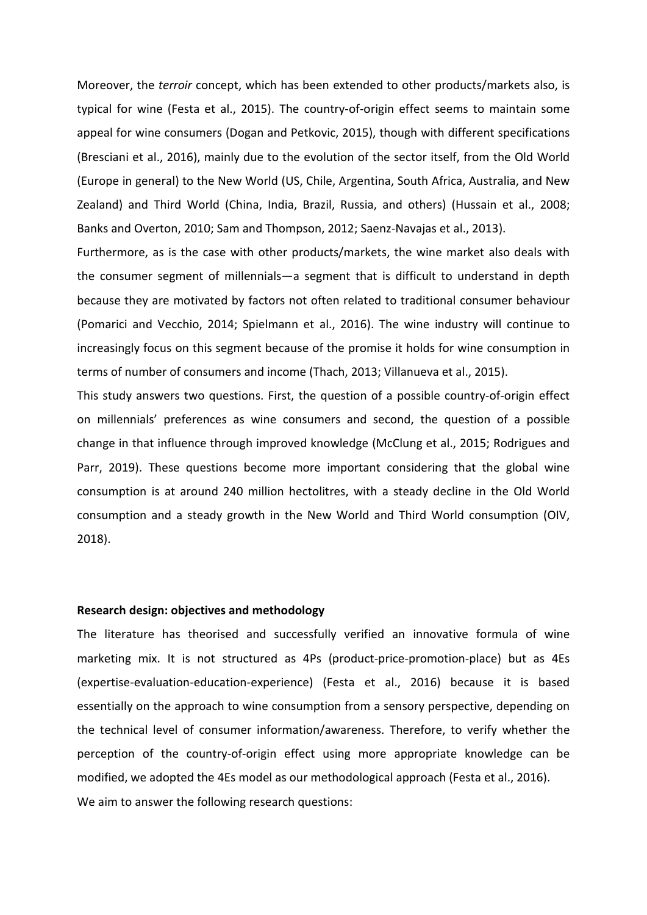Moreover, the *terroir* concept, which has been extended to other products/markets also, is typical for wine (Festa et al., 2015). The country-of-origin effect seems to maintain some appeal for wine consumers (Dogan and Petkovic, 2015), though with different specifications (Bresciani et al., 2016), mainly due to the evolution of the sector itself, from the Old World (Europe in general) to the New World (US, Chile, Argentina, South Africa, Australia, and New Zealand) and Third World (China, India, Brazil, Russia, and others) (Hussain et al., 2008; Banks and Overton, 2010; Sam and Thompson, 2012; Saenz-Navajas et al., 2013).

Furthermore, as is the case with other products/markets, the wine market also deals with the consumer segment of millennials—a segment that is difficult to understand in depth because they are motivated by factors not often related to traditional consumer behaviour (Pomarici and Vecchio, 2014; Spielmann et al., 2016). The wine industry will continue to increasingly focus on this segment because of the promise it holds for wine consumption in terms of number of consumers and income (Thach, 2013; Villanueva et al., 2015).

This study answers two questions. First, the question of a possible country-of-origin effect on millennials' preferences as wine consumers and second, the question of a possible change in that influence through improved knowledge (McClung et al., 2015; Rodrigues and Parr, 2019). These questions become more important considering that the global wine consumption is at around 240 million hectolitres, with a steady decline in the Old World consumption and a steady growth in the New World and Third World consumption (OIV, 2018).

# **Research design: objectives and methodology**

The literature has theorised and successfully verified an innovative formula of wine marketing mix. It is not structured as 4Ps (product-price-promotion-place) but as 4Es (expertise-evaluation-education-experience) (Festa et al., 2016) because it is based essentially on the approach to wine consumption from a sensory perspective, depending on the technical level of consumer information/awareness. Therefore, to verify whether the perception of the country-of-origin effect using more appropriate knowledge can be modified, we adopted the 4Es model as our methodological approach (Festa et al., 2016). We aim to answer the following research questions: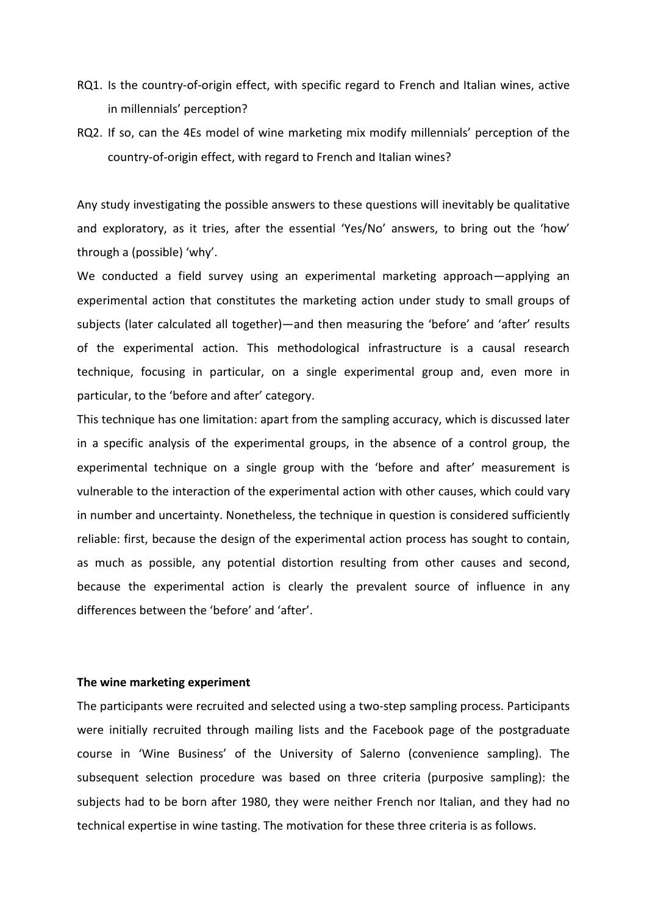- RQ1. Is the country-of-origin effect, with specific regard to French and Italian wines, active in millennials' perception?
- RQ2. If so, can the 4Es model of wine marketing mix modify millennials' perception of the country-of-origin effect, with regard to French and Italian wines?

Any study investigating the possible answers to these questions will inevitably be qualitative and exploratory, as it tries, after the essential 'Yes/No' answers, to bring out the 'how' through a (possible) 'why'.

We conducted a field survey using an experimental marketing approach—applying an experimental action that constitutes the marketing action under study to small groups of subjects (later calculated all together)—and then measuring the 'before' and 'after' results of the experimental action. This methodological infrastructure is a causal research technique, focusing in particular, on a single experimental group and, even more in particular, to the 'before and after' category.

This technique has one limitation: apart from the sampling accuracy, which is discussed later in a specific analysis of the experimental groups, in the absence of a control group, the experimental technique on a single group with the 'before and after' measurement is vulnerable to the interaction of the experimental action with other causes, which could vary in number and uncertainty. Nonetheless, the technique in question is considered sufficiently reliable: first, because the design of the experimental action process has sought to contain, as much as possible, any potential distortion resulting from other causes and second, because the experimental action is clearly the prevalent source of influence in any differences between the 'before' and 'after'.

#### **The wine marketing experiment**

The participants were recruited and selected using a two-step sampling process. Participants were initially recruited through mailing lists and the Facebook page of the postgraduate course in 'Wine Business' of the University of Salerno (convenience sampling). The subsequent selection procedure was based on three criteria (purposive sampling): the subjects had to be born after 1980, they were neither French nor Italian, and they had no technical expertise in wine tasting. The motivation for these three criteria is as follows.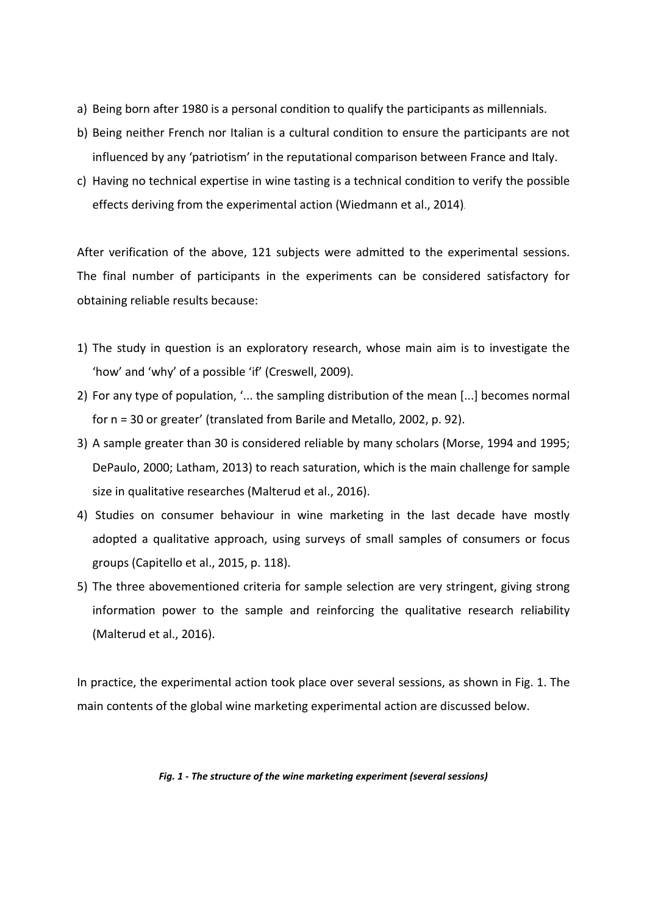- a) Being born after 1980 is a personal condition to qualify the participants as millennials.
- b) Being neither French nor Italian is a cultural condition to ensure the participants are not influenced by any 'patriotism' in the reputational comparison between France and Italy.
- c) Having no technical expertise in wine tasting is a technical condition to verify the possible effects deriving from the experimental action (Wiedmann et al., 2014).

After verification of the above, 121 subjects were admitted to the experimental sessions. The final number of participants in the experiments can be considered satisfactory for obtaining reliable results because:

- 1) The study in question is an exploratory research, whose main aim is to investigate the 'how' and 'why' of a possible 'if' (Creswell, 2009).
- 2) For any type of population, '... the sampling distribution of the mean [...] becomes normal for n = 30 or greater' (translated from Barile and Metallo, 2002, p. 92).
- 3) A sample greater than 30 is considered reliable by many scholars (Morse, 1994 and 1995; DePaulo, 2000; Latham, 2013) to reach saturation, which is the main challenge for sample size in qualitative researches (Malterud et al., 2016).
- 4) Studies on consumer behaviour in wine marketing in the last decade have mostly adopted a qualitative approach, using surveys of small samples of consumers or focus groups (Capitello et al., 2015, p. 118).
- 5) The three abovementioned criteria for sample selection are very stringent, giving strong information power to the sample and reinforcing the qualitative research reliability (Malterud et al., 2016).

In practice, the experimental action took place over several sessions, as shown in Fig. 1. The main contents of the global wine marketing experimental action are discussed below.

#### *Fig. 1 - The structure of the wine marketing experiment (several sessions)*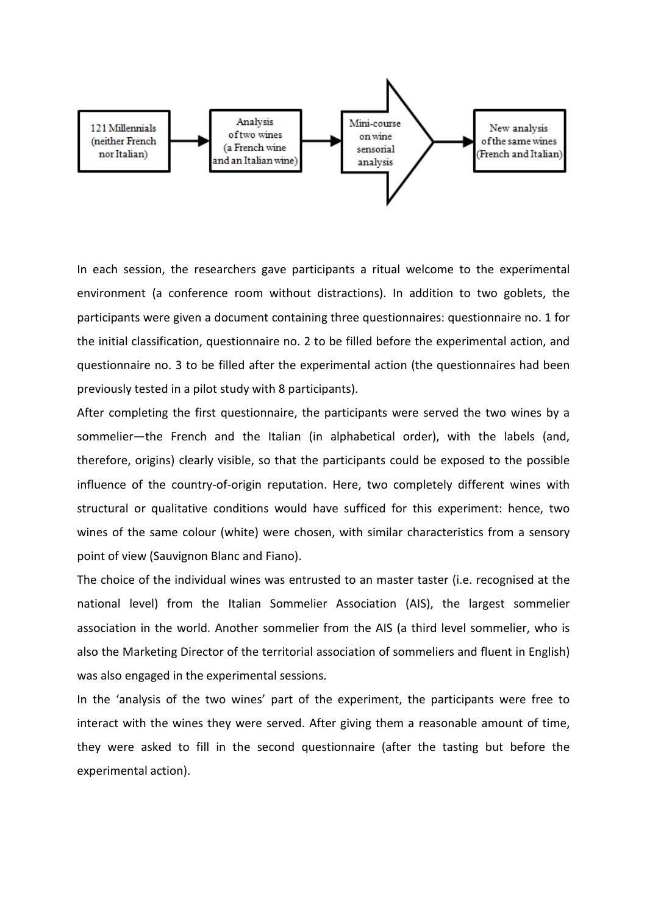

In each session, the researchers gave participants a ritual welcome to the experimental environment (a conference room without distractions). In addition to two goblets, the participants were given a document containing three questionnaires: questionnaire no. 1 for the initial classification, questionnaire no. 2 to be filled before the experimental action, and questionnaire no. 3 to be filled after the experimental action (the questionnaires had been previously tested in a pilot study with 8 participants).

After completing the first questionnaire, the participants were served the two wines by a sommelier—the French and the Italian (in alphabetical order), with the labels (and, therefore, origins) clearly visible, so that the participants could be exposed to the possible influence of the country-of-origin reputation. Here, two completely different wines with structural or qualitative conditions would have sufficed for this experiment: hence, two wines of the same colour (white) were chosen, with similar characteristics from a sensory point of view (Sauvignon Blanc and Fiano).

The choice of the individual wines was entrusted to an master taster (i.e. recognised at the national level) from the Italian Sommelier Association (AIS), the largest sommelier association in the world. Another sommelier from the AIS (a third level sommelier, who is also the Marketing Director of the territorial association of sommeliers and fluent in English) was also engaged in the experimental sessions.

In the 'analysis of the two wines' part of the experiment, the participants were free to interact with the wines they were served. After giving them a reasonable amount of time, they were asked to fill in the second questionnaire (after the tasting but before the experimental action).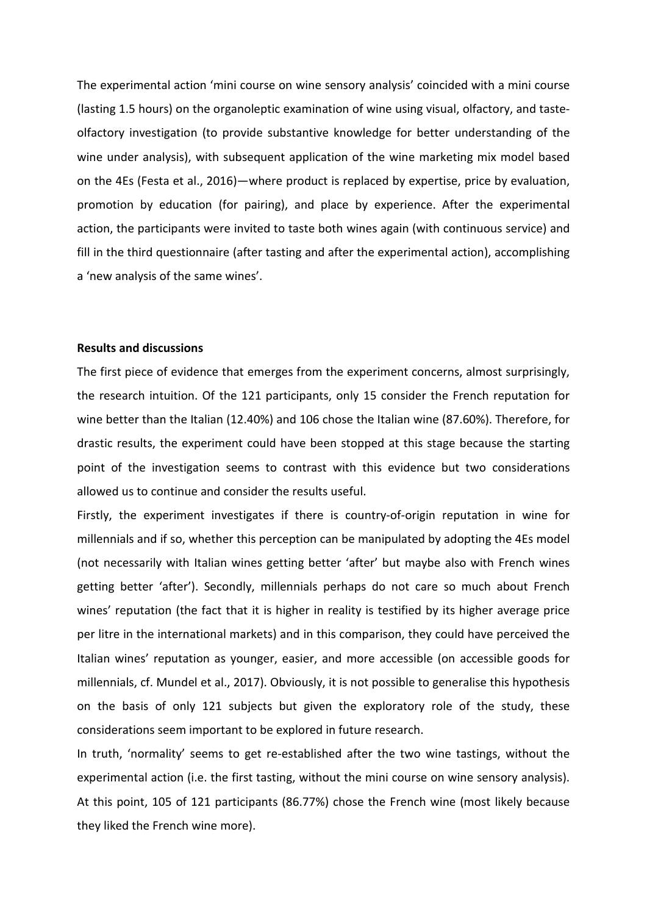The experimental action 'mini course on wine sensory analysis' coincided with a mini course (lasting 1.5 hours) on the organoleptic examination of wine using visual, olfactory, and tasteolfactory investigation (to provide substantive knowledge for better understanding of the wine under analysis), with subsequent application of the wine marketing mix model based on the 4Es (Festa et al., 2016)—where product is replaced by expertise, price by evaluation, promotion by education (for pairing), and place by experience. After the experimental action, the participants were invited to taste both wines again (with continuous service) and fill in the third questionnaire (after tasting and after the experimental action), accomplishing a 'new analysis of the same wines'.

#### **Results and discussions**

The first piece of evidence that emerges from the experiment concerns, almost surprisingly, the research intuition. Of the 121 participants, only 15 consider the French reputation for wine better than the Italian (12.40%) and 106 chose the Italian wine (87.60%). Therefore, for drastic results, the experiment could have been stopped at this stage because the starting point of the investigation seems to contrast with this evidence but two considerations allowed us to continue and consider the results useful.

Firstly, the experiment investigates if there is country-of-origin reputation in wine for millennials and if so, whether this perception can be manipulated by adopting the 4Es model (not necessarily with Italian wines getting better 'after' but maybe also with French wines getting better 'after'). Secondly, millennials perhaps do not care so much about French wines' reputation (the fact that it is higher in reality is testified by its higher average price per litre in the international markets) and in this comparison, they could have perceived the Italian wines' reputation as younger, easier, and more accessible (on accessible goods for millennials, cf. Mundel et al., 2017). Obviously, it is not possible to generalise this hypothesis on the basis of only 121 subjects but given the exploratory role of the study, these considerations seem important to be explored in future research.

In truth, 'normality' seems to get re-established after the two wine tastings, without the experimental action (i.e. the first tasting, without the mini course on wine sensory analysis). At this point, 105 of 121 participants (86.77%) chose the French wine (most likely because they liked the French wine more).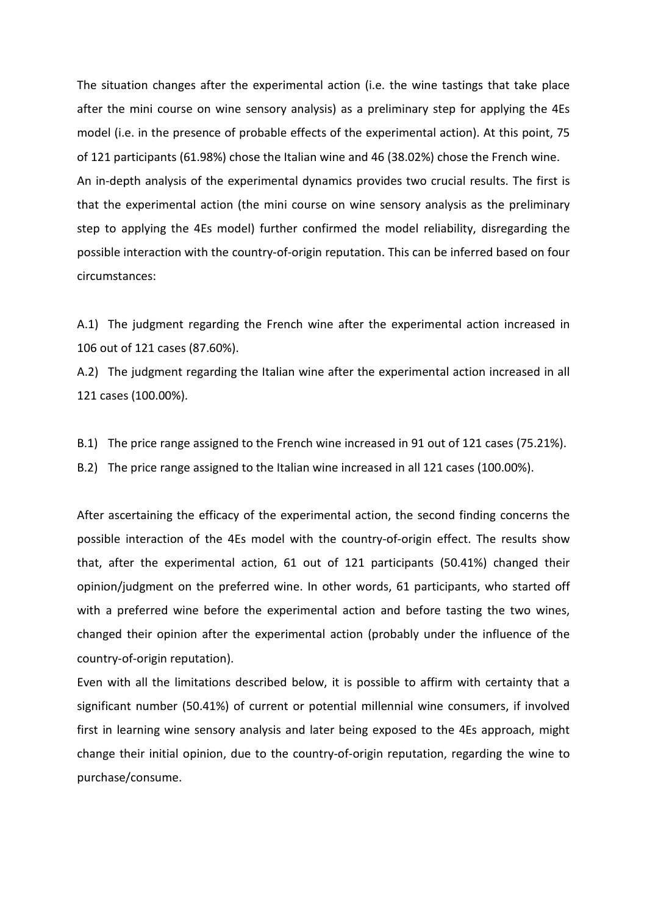The situation changes after the experimental action (i.e. the wine tastings that take place after the mini course on wine sensory analysis) as a preliminary step for applying the 4Es model (i.e. in the presence of probable effects of the experimental action). At this point, 75 of 121 participants (61.98%) chose the Italian wine and 46 (38.02%) chose the French wine. An in-depth analysis of the experimental dynamics provides two crucial results. The first is that the experimental action (the mini course on wine sensory analysis as the preliminary step to applying the 4Es model) further confirmed the model reliability, disregarding the possible interaction with the country-of-origin reputation. This can be inferred based on four circumstances:

A.1) The judgment regarding the French wine after the experimental action increased in 106 out of 121 cases (87.60%).

A.2) The judgment regarding the Italian wine after the experimental action increased in all 121 cases (100.00%).

- B.1) The price range assigned to the French wine increased in 91 out of 121 cases (75.21%).
- B.2) The price range assigned to the Italian wine increased in all 121 cases (100.00%).

After ascertaining the efficacy of the experimental action, the second finding concerns the possible interaction of the 4Es model with the country-of-origin effect. The results show that, after the experimental action, 61 out of 121 participants (50.41%) changed their opinion/judgment on the preferred wine. In other words, 61 participants, who started off with a preferred wine before the experimental action and before tasting the two wines, changed their opinion after the experimental action (probably under the influence of the country-of-origin reputation).

Even with all the limitations described below, it is possible to affirm with certainty that a significant number (50.41%) of current or potential millennial wine consumers, if involved first in learning wine sensory analysis and later being exposed to the 4Es approach, might change their initial opinion, due to the country-of-origin reputation, regarding the wine to purchase/consume.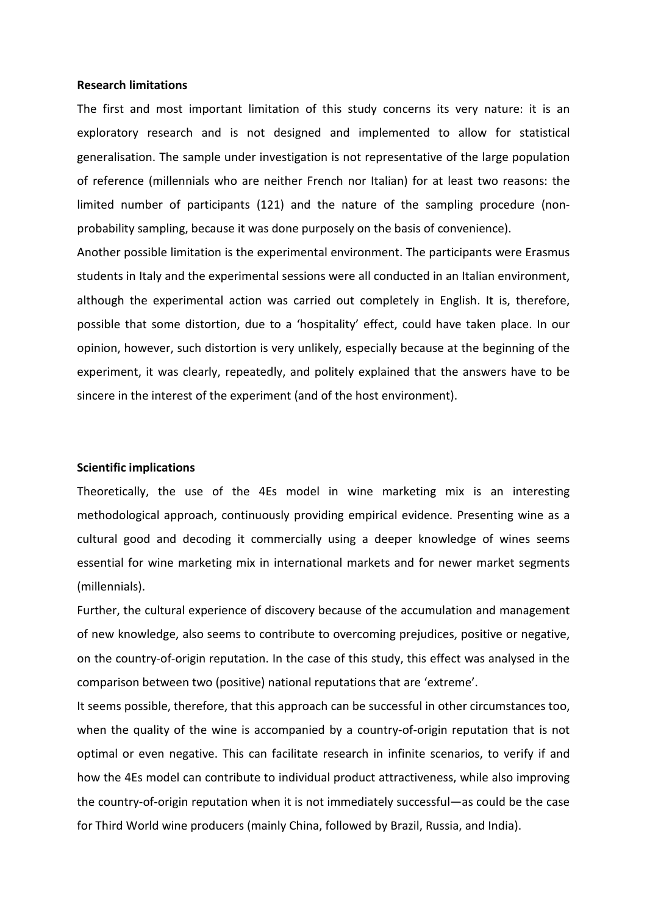#### **Research limitations**

The first and most important limitation of this study concerns its very nature: it is an exploratory research and is not designed and implemented to allow for statistical generalisation. The sample under investigation is not representative of the large population of reference (millennials who are neither French nor Italian) for at least two reasons: the limited number of participants (121) and the nature of the sampling procedure (nonprobability sampling, because it was done purposely on the basis of convenience).

Another possible limitation is the experimental environment. The participants were Erasmus students in Italy and the experimental sessions were all conducted in an Italian environment, although the experimental action was carried out completely in English. It is, therefore, possible that some distortion, due to a 'hospitality' effect, could have taken place. In our opinion, however, such distortion is very unlikely, especially because at the beginning of the experiment, it was clearly, repeatedly, and politely explained that the answers have to be sincere in the interest of the experiment (and of the host environment).

#### **Scientific implications**

Theoretically, the use of the 4Es model in wine marketing mix is an interesting methodological approach, continuously providing empirical evidence. Presenting wine as a cultural good and decoding it commercially using a deeper knowledge of wines seems essential for wine marketing mix in international markets and for newer market segments (millennials).

Further, the cultural experience of discovery because of the accumulation and management of new knowledge, also seems to contribute to overcoming prejudices, positive or negative, on the country-of-origin reputation. In the case of this study, this effect was analysed in the comparison between two (positive) national reputations that are 'extreme'.

It seems possible, therefore, that this approach can be successful in other circumstances too, when the quality of the wine is accompanied by a country-of-origin reputation that is not optimal or even negative. This can facilitate research in infinite scenarios, to verify if and how the 4Es model can contribute to individual product attractiveness, while also improving the country-of-origin reputation when it is not immediately successful—as could be the case for Third World wine producers (mainly China, followed by Brazil, Russia, and India).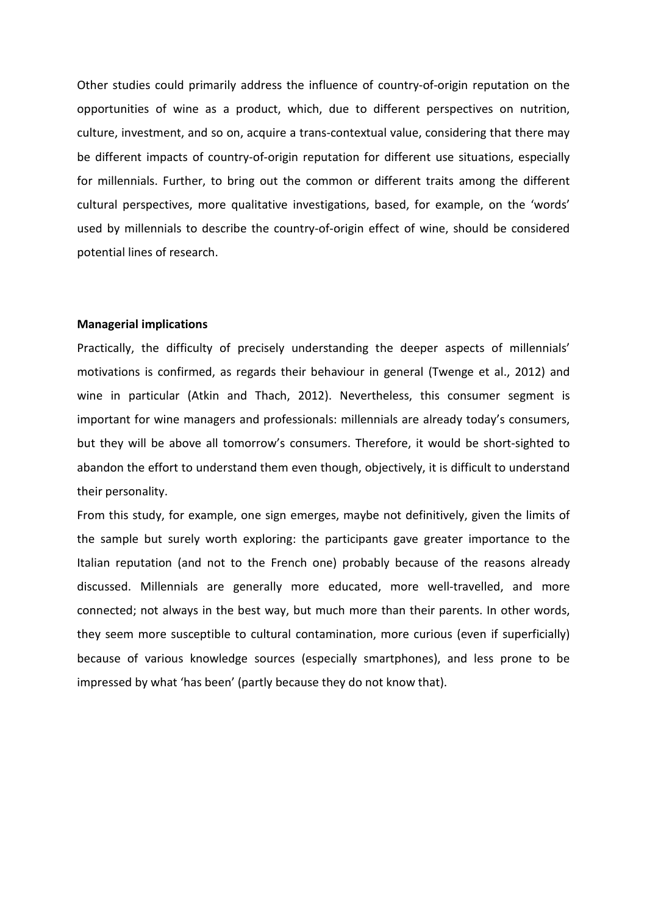Other studies could primarily address the influence of country-of-origin reputation on the opportunities of wine as a product, which, due to different perspectives on nutrition, culture, investment, and so on, acquire a trans-contextual value, considering that there may be different impacts of country-of-origin reputation for different use situations, especially for millennials. Further, to bring out the common or different traits among the different cultural perspectives, more qualitative investigations, based, for example, on the 'words' used by millennials to describe the country-of-origin effect of wine, should be considered potential lines of research.

# **Managerial implications**

Practically, the difficulty of precisely understanding the deeper aspects of millennials' motivations is confirmed, as regards their behaviour in general (Twenge et al., 2012) and wine in particular (Atkin and Thach, 2012). Nevertheless, this consumer segment is important for wine managers and professionals: millennials are already today's consumers, but they will be above all tomorrow's consumers. Therefore, it would be short-sighted to abandon the effort to understand them even though, objectively, it is difficult to understand their personality.

From this study, for example, one sign emerges, maybe not definitively, given the limits of the sample but surely worth exploring: the participants gave greater importance to the Italian reputation (and not to the French one) probably because of the reasons already discussed. Millennials are generally more educated, more well-travelled, and more connected; not always in the best way, but much more than their parents. In other words, they seem more susceptible to cultural contamination, more curious (even if superficially) because of various knowledge sources (especially smartphones), and less prone to be impressed by what 'has been' (partly because they do not know that).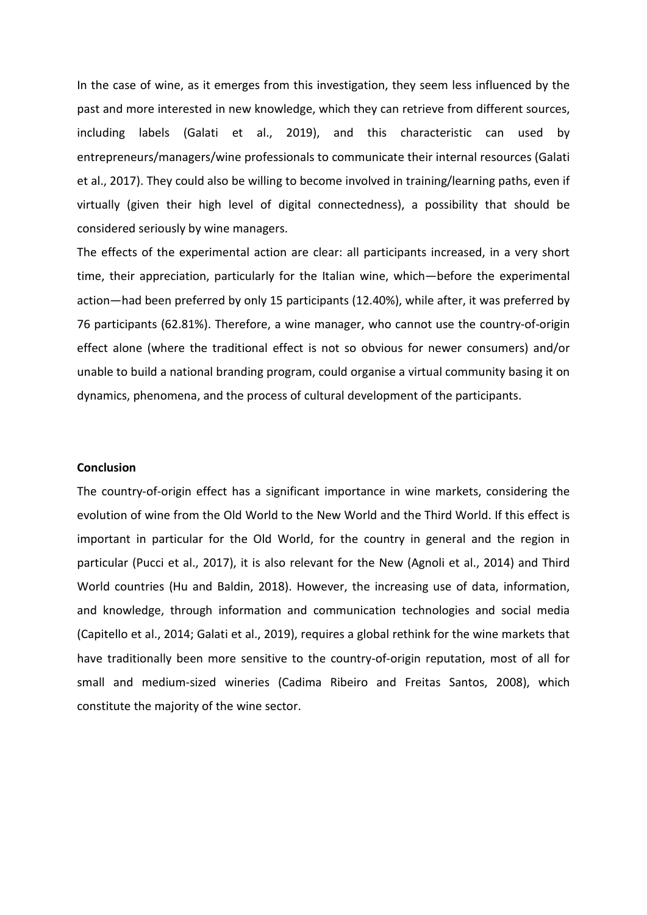In the case of wine, as it emerges from this investigation, they seem less influenced by the past and more interested in new knowledge, which they can retrieve from different sources, including labels (Galati et al., 2019), and this characteristic can used by entrepreneurs/managers/wine professionals to communicate their internal resources (Galati et al., 2017). They could also be willing to become involved in training/learning paths, even if virtually (given their high level of digital connectedness), a possibility that should be considered seriously by wine managers.

The effects of the experimental action are clear: all participants increased, in a very short time, their appreciation, particularly for the Italian wine, which—before the experimental action—had been preferred by only 15 participants (12.40%), while after, it was preferred by 76 participants (62.81%). Therefore, a wine manager, who cannot use the country-of-origin effect alone (where the traditional effect is not so obvious for newer consumers) and/or unable to build a national branding program, could organise a virtual community basing it on dynamics, phenomena, and the process of cultural development of the participants.

# **Conclusion**

The country-of-origin effect has a significant importance in wine markets, considering the evolution of wine from the Old World to the New World and the Third World. If this effect is important in particular for the Old World, for the country in general and the region in particular (Pucci et al., 2017), it is also relevant for the New (Agnoli et al., 2014) and Third World countries (Hu and Baldin, 2018). However, the increasing use of data, information, and knowledge, through information and communication technologies and social media (Capitello et al., 2014; Galati et al., 2019), requires a global rethink for the wine markets that have traditionally been more sensitive to the country-of-origin reputation, most of all for small and medium-sized wineries (Cadima Ribeiro and Freitas Santos, 2008), which constitute the majority of the wine sector.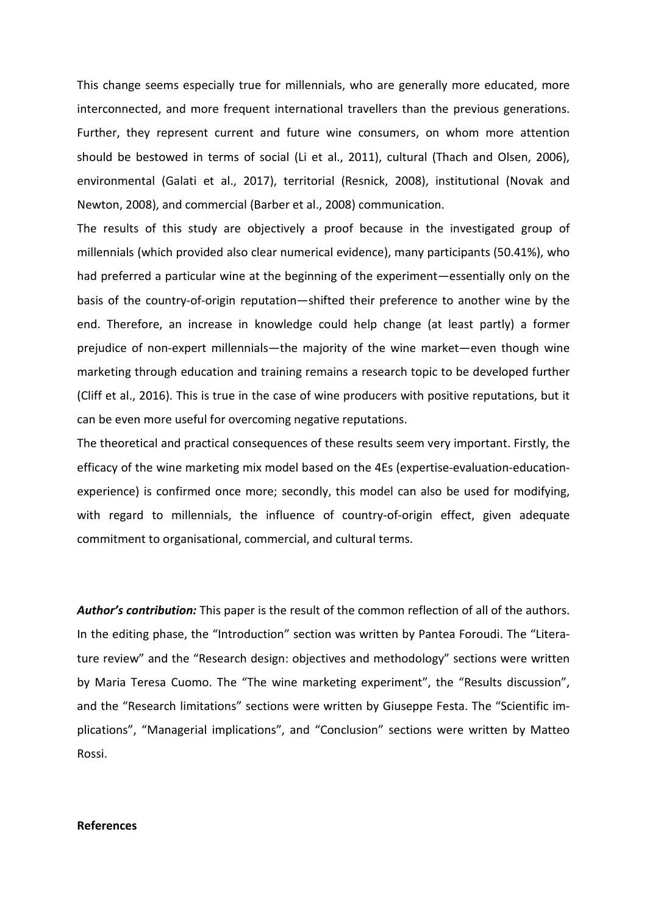This change seems especially true for millennials, who are generally more educated, more interconnected, and more frequent international travellers than the previous generations. Further, they represent current and future wine consumers, on whom more attention should be bestowed in terms of social (Li et al., 2011), cultural (Thach and Olsen, 2006), environmental (Galati et al., 2017), territorial (Resnick, 2008), institutional (Novak and Newton, 2008), and commercial (Barber et al., 2008) communication.

The results of this study are objectively a proof because in the investigated group of millennials (which provided also clear numerical evidence), many participants (50.41%), who had preferred a particular wine at the beginning of the experiment—essentially only on the basis of the country-of-origin reputation—shifted their preference to another wine by the end. Therefore, an increase in knowledge could help change (at least partly) a former prejudice of non-expert millennials—the majority of the wine market—even though wine marketing through education and training remains a research topic to be developed further (Cliff et al., 2016). This is true in the case of wine producers with positive reputations, but it can be even more useful for overcoming negative reputations.

The theoretical and practical consequences of these results seem very important. Firstly, the efficacy of the wine marketing mix model based on the 4Es (expertise-evaluation-educationexperience) is confirmed once more; secondly, this model can also be used for modifying, with regard to millennials, the influence of country-of-origin effect, given adequate commitment to organisational, commercial, and cultural terms.

*Author's contribution:* This paper is the result of the common reflection of all of the authors. In the editing phase, the "Introduction" section was written by Pantea Foroudi. The "Literature review" and the "Research design: objectives and methodology" sections were written by Maria Teresa Cuomo. The "The wine marketing experiment", the "Results discussion", and the "Research limitations" sections were written by Giuseppe Festa. The "Scientific implications", "Managerial implications", and "Conclusion" sections were written by Matteo Rossi.

#### **References**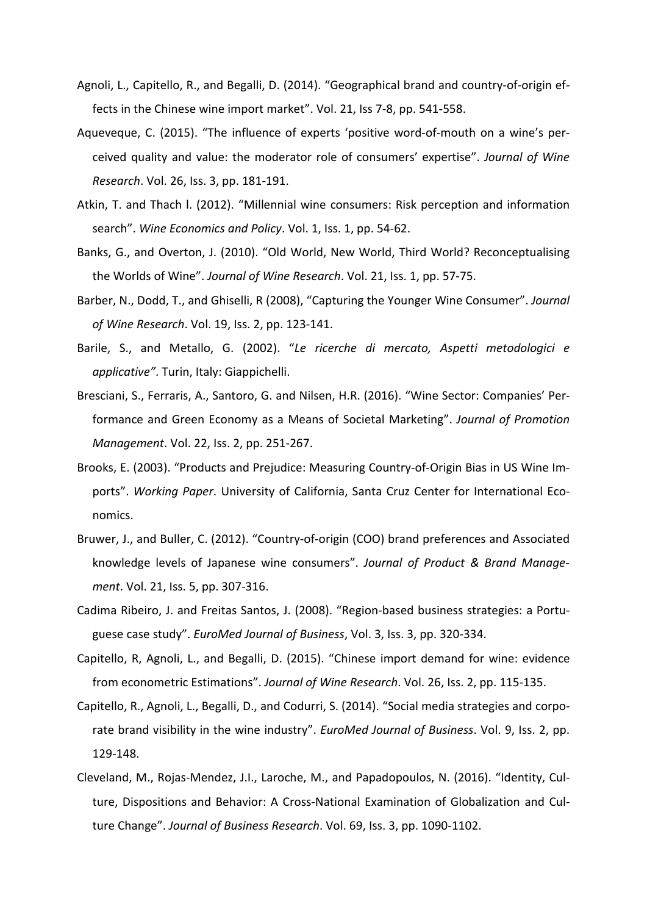- Agnoli, L., Capitello, R., and Begalli, D. (2014). "Geographical brand and country-of-origin effects in the Chinese wine import market". Vol. 21, Iss 7-8, pp. 541-558.
- Aqueveque, C. (2015). "The influence of experts 'positive word-of-mouth on a wine's perceived quality and value: the moderator role of consumers' expertise". *Journal of Wine Research*. Vol. 26, Iss. 3, pp. 181-191.
- Atkin, T. and Thach l. (2012). "Millennial wine consumers: Risk perception and information search". *Wine Economics and Policy*. Vol. 1, Iss. 1, pp. 54-62.
- Banks, G., and Overton, J. (2010). "Old World, New World, Third World? Reconceptualising the Worlds of Wine". *Journal of Wine Research*. Vol. 21, Iss. 1, pp. 57-75.
- Barber, N., Dodd, T., and Ghiselli, R (2008), "Capturing the Younger Wine Consumer". *Journal of Wine Research*. Vol. 19, Iss. 2, pp. 123-141.
- Barile, S., and Metallo, G. (2002). "*Le ricerche di mercato, Aspetti metodologici e applicative"*. Turin, Italy: Giappichelli.
- Bresciani, S., Ferraris, A., Santoro, G. and Nilsen, H.R. (2016). "Wine Sector: Companies' Performance and Green Economy as a Means of Societal Marketing". *Journal of Promotion Management*. Vol. 22, Iss. 2, pp. 251-267.
- Brooks, E. (2003). "Products and Prejudice: Measuring Country-of-Origin Bias in US Wine Imports". *Working Paper*. University of California, Santa Cruz Center for International Economics.
- Bruwer, J., and Buller, C. (2012). "Country-of-origin (COO) brand preferences and Associated knowledge levels of Japanese wine consumers". *Journal of Product & Brand Management*. Vol. 21, Iss. 5, pp. 307-316.
- Cadima Ribeiro, J. and Freitas Santos, J. (2008). "Region-based business strategies: a Portuguese case study". *EuroMed Journal of Business*, Vol. 3, Iss. 3, pp. 320-334.
- Capitello, R, Agnoli, L., and Begalli, D. (2015). "Chinese import demand for wine: evidence from econometric Estimations". *Journal of Wine Research*. Vol. 26, Iss. 2, pp. 115-135.
- Capitello, R., Agnoli, L., Begalli, D., and Codurri, S. (2014). "Social media strategies and corporate brand visibility in the wine industry". *EuroMed Journal of Business*. Vol. 9, Iss. 2, pp. 129-148.
- Cleveland, M., Rojas-Mendez, J.I., Laroche, M., and Papadopoulos, N. (2016). "Identity, Culture, Dispositions and Behavior: A Cross-National Examination of Globalization and Culture Change". *Journal of Business Research*. Vol. 69, Iss. 3, pp. 1090-1102.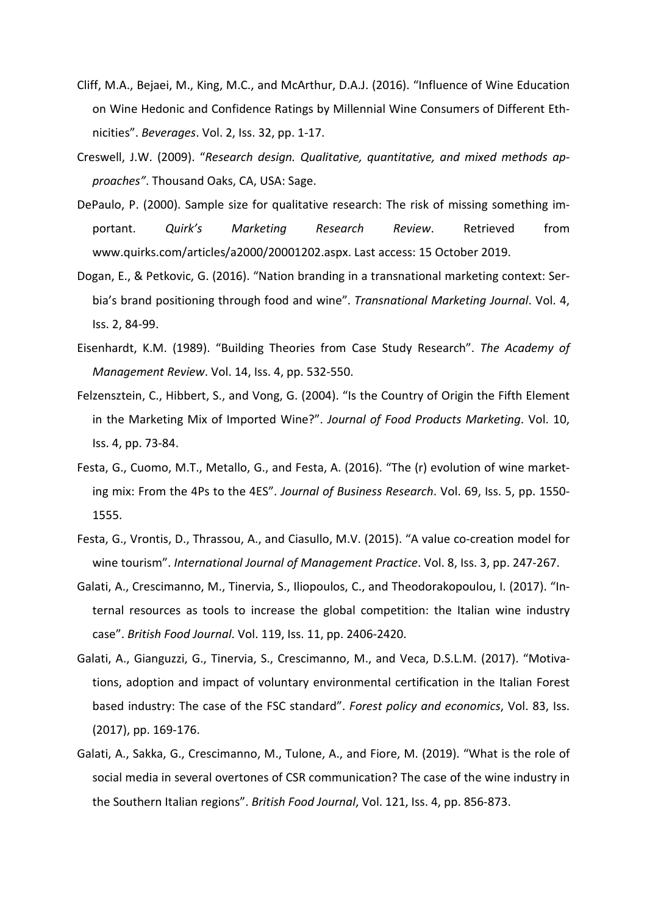- Cliff, M.A., Bejaei, M., King, M.C., and McArthur, D.A.J. (2016). "Influence of Wine Education on Wine Hedonic and Confidence Ratings by Millennial Wine Consumers of Different Ethnicities". *Beverages*. Vol. 2, Iss. 32, pp. 1-17.
- Creswell, J.W. (2009). "*Research design. Qualitative, quantitative, and mixed methods approaches"*. Thousand Oaks, CA, USA: Sage.
- DePaulo, P. (2000). Sample size for qualitative research: The risk of missing something important. *Quirk's Marketing Research Review*. Retrieved from [www.quirks.com/articles/a2000/20001202.aspx.](http://www.quirks.com/articles/a2000/20001202.aspx) Last access: 15 October 2019.
- Dogan, E., & Petkovic, G. (2016). "Nation branding in a transnational marketing context: Serbia's brand positioning through food and wine". *Transnational Marketing Journal*. Vol. 4, Iss. 2, 84-99.
- Eisenhardt, K.M. (1989). "Building Theories from Case Study Research". *The Academy of Management Review*. Vol. 14, Iss. 4, pp. 532-550.
- Felzensztein, C., Hibbert, S., and Vong, G. (2004). "Is the Country of Origin the Fifth Element in the Marketing Mix of Imported Wine?". *Journal of Food Products Marketing*. Vol. 10, Iss. 4, pp. 73-84.
- Festa, G., Cuomo, M.T., Metallo, G., and Festa, A. (2016). "The (r) evolution of wine marketing mix: From the 4Ps to the 4ES". *Journal of Business Research*. Vol. 69, Iss. 5, pp. 1550- 1555.
- Festa, G., Vrontis, D., Thrassou, A., and Ciasullo, M.V. (2015). "A value co-creation model for wine tourism". *International Journal of Management Practice*. Vol. 8, Iss. 3, pp. 247-267.
- Galati, A., Crescimanno, M., Tinervia, S., Iliopoulos, C., and Theodorakopoulou, I. (2017). "Internal resources as tools to increase the global competition: the Italian wine industry case". *British Food Journal*. Vol. 119, Iss. 11, pp. 2406-2420.
- Galati, A., Gianguzzi, G., Tinervia, S., Crescimanno, M., and Veca, D.S.L.M. (2017). "Motivations, adoption and impact of voluntary environmental certification in the Italian Forest based industry: The case of the FSC standard". *Forest policy and economics*, Vol. 83, Iss. (2017), pp. 169-176.
- Galati, A., Sakka, G., Crescimanno, M., Tulone, A., and Fiore, M. (2019). "What is the role of social media in several overtones of CSR communication? The case of the wine industry in the Southern Italian regions". *British Food Journal*, Vol. 121, Iss. 4, pp. 856-873.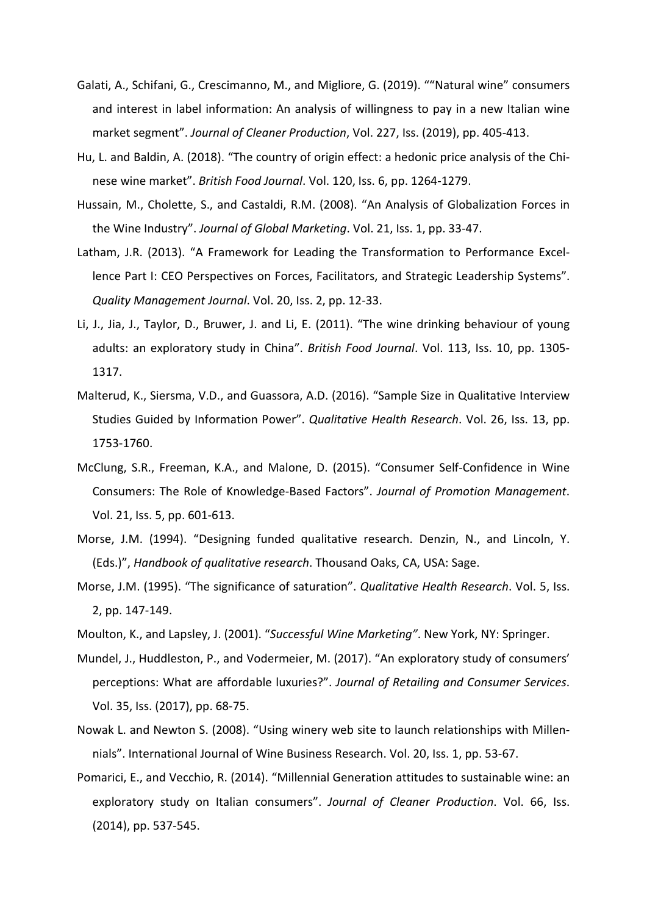- Galati, A., Schifani, G., Crescimanno, M., and Migliore, G. (2019). ""Natural wine" consumers and interest in label information: An analysis of willingness to pay in a new Italian wine market segment". *Journal of Cleaner Production*, Vol. 227, Iss. (2019), pp. 405-413.
- Hu, L. and Baldin, A. (2018). "The country of origin effect: a hedonic price analysis of the Chinese wine market". *British Food Journal*. Vol. 120, Iss. 6, pp. 1264-1279.
- Hussain, M., Cholette, S., and Castaldi, R.M. (2008). "An Analysis of Globalization Forces in the Wine Industry". *Journal of Global Marketing*. Vol. 21, Iss. 1, pp. 33-47.
- Latham, J.R. (2013). "A Framework for Leading the Transformation to Performance Excellence Part I: CEO Perspectives on Forces, Facilitators, and Strategic Leadership Systems". *Quality Management Journal*. Vol. 20, Iss. 2, pp. 12-33.
- Li, J., Jia, J., Taylor, D., Bruwer, J. and Li, E. (2011). "The wine drinking behaviour of young adults: an exploratory study in China". *British Food Journal*. Vol. 113, Iss. 10, pp. 1305- 1317.
- Malterud, K., Siersma, V.D., and Guassora, A.D. (2016). "Sample Size in Qualitative Interview Studies Guided by Information Power". *Qualitative Health Research*. Vol. 26, Iss. 13, pp. 1753-1760.
- McClung, S.R., Freeman, K.A., and Malone, D. (2015). "Consumer Self-Confidence in Wine Consumers: The Role of Knowledge-Based Factors". *Journal of Promotion Management*. Vol. 21, Iss. 5, pp. 601-613.
- Morse, J.M. (1994). "Designing funded qualitative research. Denzin, N., and Lincoln, Y. (Eds.)", *Handbook of qualitative research*. Thousand Oaks, CA, USA: Sage.
- Morse, J.M. (1995). "The significance of saturation". *Qualitative Health Research*. Vol. 5, Iss. 2, pp. 147-149.
- Moulton, K., and Lapsley, J. (2001). "*Successful Wine Marketing"*. New York, NY: Springer.
- Mundel, J., Huddleston, P., and Vodermeier, M. (2017). "An exploratory study of consumers' perceptions: What are affordable luxuries?". *Journal of Retailing and Consumer Services*. Vol. 35, Iss. (2017), pp. 68-75.
- Nowak L. and Newton S. (2008). "Using winery web site to launch relationships with Millennials". International Journal of Wine Business Research. Vol. 20, Iss. 1, pp. 53-67.
- Pomarici, E., and Vecchio, R. (2014). "Millennial Generation attitudes to sustainable wine: an exploratory study on Italian consumers". *Journal of Cleaner Production*. Vol. 66, Iss. (2014), pp. 537-545.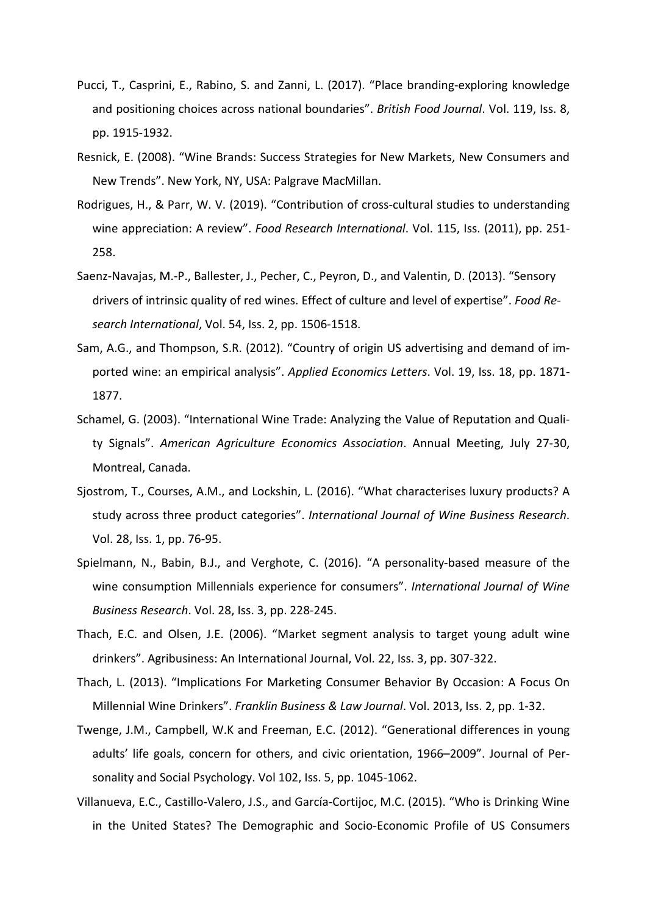- Pucci, T., Casprini, E., Rabino, S. and Zanni, L. (2017). "Place branding-exploring knowledge and positioning choices across national boundaries". *British Food Journal*. Vol. 119, Iss. 8, pp. 1915-1932.
- Resnick, E. (2008). "Wine Brands: Success Strategies for New Markets, New Consumers and New Trends". New York, NY, USA: Palgrave MacMillan.
- Rodrigues, H., & Parr, W. V. (2019). "Contribution of cross-cultural studies to understanding wine appreciation: A review". *Food Research International*. Vol. 115, Iss. (2011), pp. 251- 258.
- Saenz-Navajas, M.-P., Ballester, J., Pecher, C., Peyron, D., and Valentin, D. (2013). "Sensory drivers of intrinsic quality of red wines. Effect of culture and level of expertise". *Food Research International*, Vol. 54, Iss. 2, pp. 1506-1518.
- Sam, A.G., and Thompson, S.R. (2012). "Country of origin US advertising and demand of imported wine: an empirical analysis". *Applied Economics Letters*. Vol. 19, Iss. 18, pp. 1871- 1877.
- Schamel, G. (2003). "International Wine Trade: Analyzing the Value of Reputation and Quality Signals". *American Agriculture Economics Association*. Annual Meeting, July 27-30, Montreal, Canada.
- Sjostrom, T., Courses, A.M., and Lockshin, L. (2016). "What characterises luxury products? A study across three product categories". *International Journal of Wine Business Research*. Vol. 28, Iss. 1, pp. 76-95.
- Spielmann, N., Babin, B.J., and Verghote, C. (2016). "A personality-based measure of the wine consumption Millennials experience for consumers". *International Journal of Wine Business Research*. Vol. 28, Iss. 3, pp. 228-245.
- Thach, E.C. and Olsen, J.E. (2006). "Market segment analysis to target young adult wine drinkers". Agribusiness: An International Journal, Vol. 22, Iss. 3, pp. 307-322.
- Thach, L. (2013). "Implications For Marketing Consumer Behavior By Occasion: A Focus On Millennial Wine Drinkers". *Franklin Business & Law Journal*. Vol. 2013, Iss. 2, pp. 1-32.
- Twenge, J.M., Campbell, W.K and Freeman, E.C. (2012). "Generational differences in young adults' life goals, concern for others, and civic orientation, 1966–2009". Journal of Personality and Social Psychology. Vol 102, Iss. 5, pp. 1045-1062.
- Villanueva, E.C., Castillo-Valero, J.S., and García-Cortijoc, M.C. (2015). "Who is Drinking Wine in the United States? The Demographic and Socio-Economic Profile of US Consumers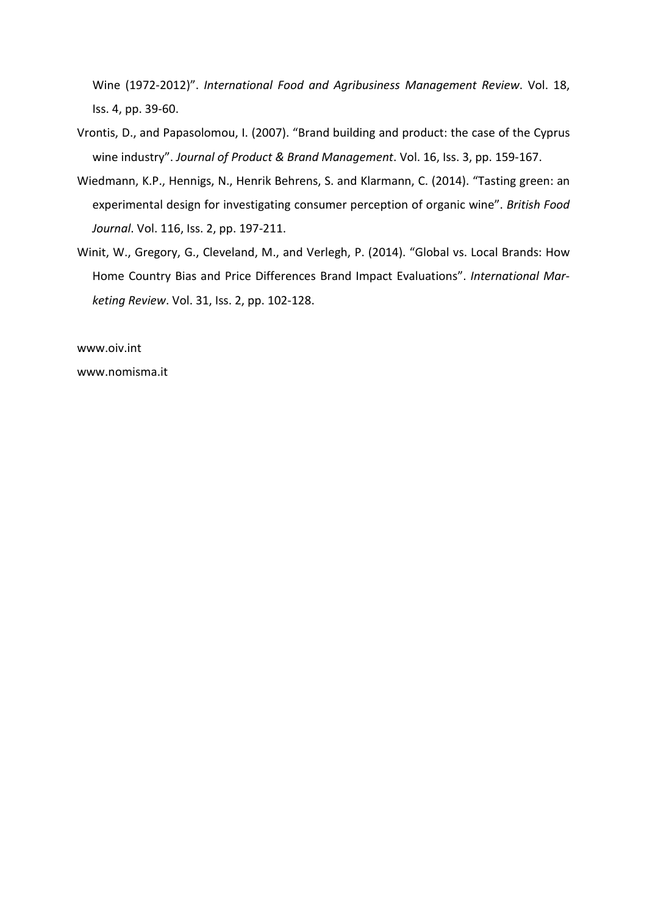Wine (1972-2012)". *International Food and Agribusiness Management Review*. Vol. 18, Iss. 4, pp. 39-60.

- Vrontis, D., and Papasolomou, I. (2007). "Brand building and product: the case of the Cyprus wine industry". *Journal of Product & Brand Management*. Vol. 16, Iss. 3, pp. 159-167.
- Wiedmann, K.P., Hennigs, N., Henrik Behrens, S. and Klarmann, C. (2014). "Tasting green: an experimental design for investigating consumer perception of organic wine". *British Food Journal*. Vol. 116, Iss. 2, pp. 197-211.
- Winit, W., Gregory, G., Cleveland, M., and Verlegh, P. (2014). "Global vs. Local Brands: How Home Country Bias and Price Differences Brand Impact Evaluations". *International Marketing Review*. Vol. 31, Iss. 2, pp. 102-128.

www.oiv.int

www.nomisma.it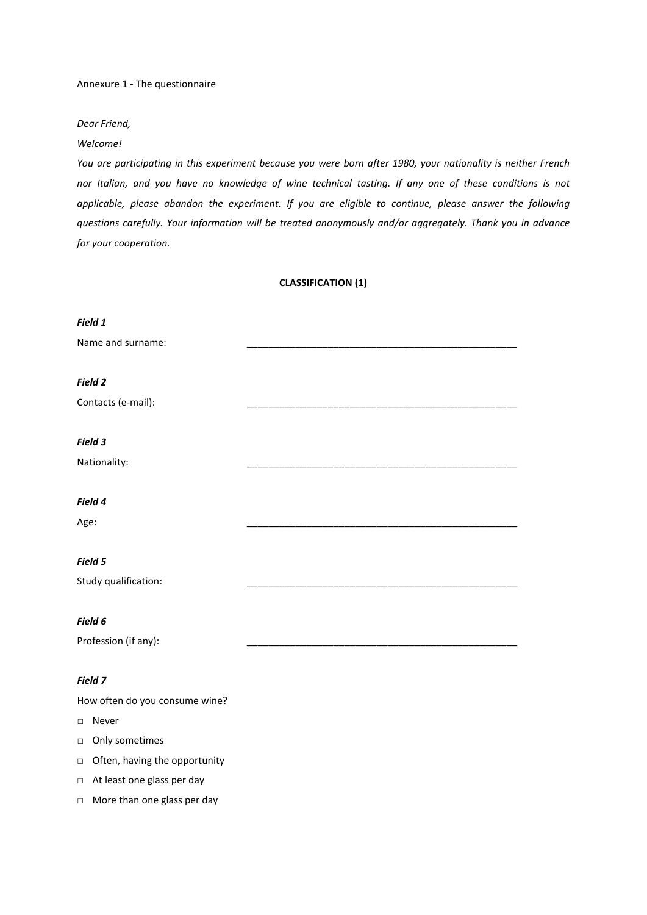#### Annexure 1 - The questionnaire

#### *Dear Friend,*

#### *Welcome!*

*You are participating in this experiment because you were born after 1980, your nationality is neither French nor Italian, and you have no knowledge of wine technical tasting. If any one of these conditions is not applicable, please abandon the experiment. If you are eligible to continue, please answer the following questions carefully. Your information will be treated anonymously and/or aggregately. Thank you in advance for your cooperation.*

### **CLASSIFICATION (1)**

| Field 1                        |  |  |
|--------------------------------|--|--|
| Name and surname:              |  |  |
|                                |  |  |
| Field 2                        |  |  |
| Contacts (e-mail):             |  |  |
|                                |  |  |
| Field 3                        |  |  |
|                                |  |  |
| Nationality:                   |  |  |
|                                |  |  |
| Field 4                        |  |  |
| Age:                           |  |  |
|                                |  |  |
| Field 5                        |  |  |
| Study qualification:           |  |  |
|                                |  |  |
| Field 6                        |  |  |
| Profession (if any):           |  |  |
|                                |  |  |
| Field 7                        |  |  |
|                                |  |  |
| How often do you consume wine? |  |  |
| Never<br>$\Box$                |  |  |
| □ Only sometimes               |  |  |

- □ Often, having the opportunity
- 
- □ At least one glass per day
- □ More than one glass per day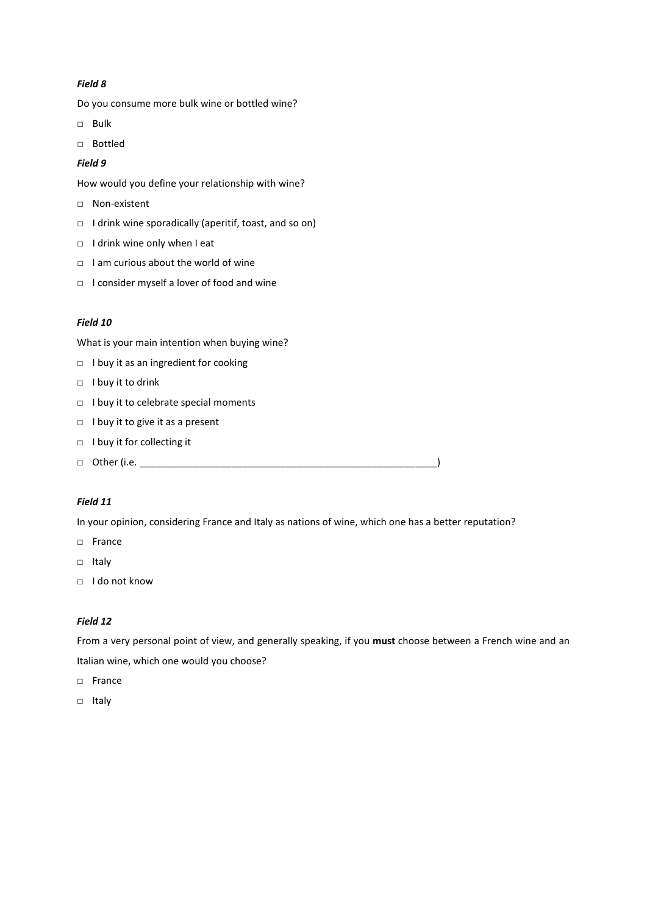### *Field 8*

Do you consume more bulk wine or bottled wine?

- □ Bulk
- □ Bottled

#### *Field 9*

How would you define your relationship with wine?

- □ Non-existent
- □ I drink wine sporadically (aperitif, toast, and so on)
- □ I drink wine only when I eat
- □ I am curious about the world of wine
- □ I consider myself a lover of food and wine

#### *Field 10*

What is your main intention when buying wine?

- □ I buy it as an ingredient for cooking
- □ I buy it to drink
- □ I buy it to celebrate special moments
- □ I buy it to give it as a present
- □ I buy it for collecting it
- □ Other (i.e. \_\_\_\_\_\_\_\_\_\_\_\_\_\_\_\_\_\_\_\_\_\_\_\_\_\_\_\_\_\_\_\_\_\_\_\_\_\_\_\_\_\_\_\_\_\_\_\_\_\_\_\_\_\_\_)

#### *Field 11*

In your opinion, considering France and Italy as nations of wine, which one has a better reputation?

- □ France
- □ Italy
- □ I do not know

#### *Field 12*

From a very personal point of view, and generally speaking, if you **must** choose between a French wine and an Italian wine, which one would you choose?

- □ France
- □ Italy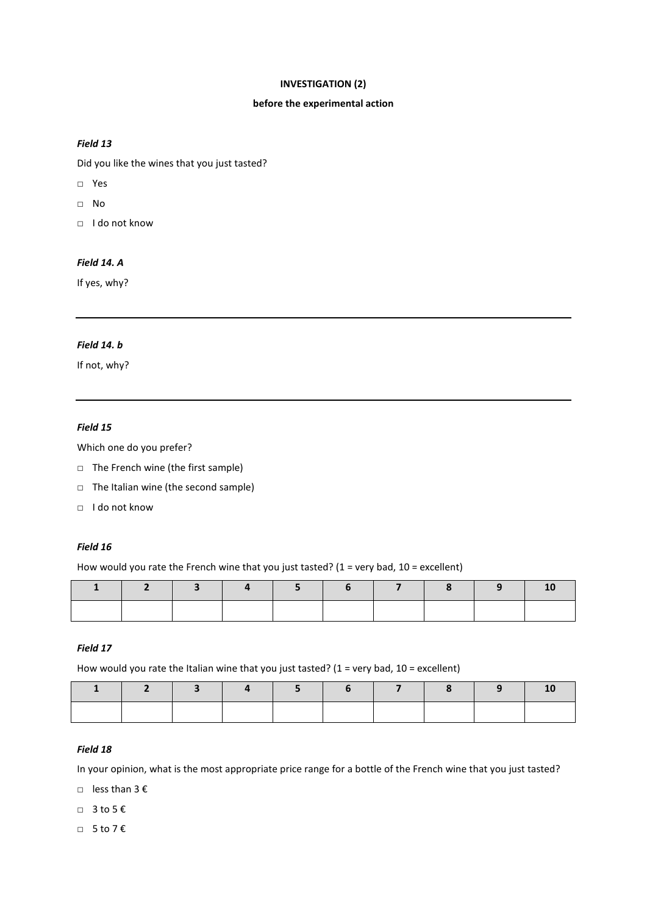#### **INVESTIGATION (2)**

#### **before the experimental action**

#### *Field 13*

Did you like the wines that you just tasted?

- □ Yes
- □ No
- $\Box$  I do not know

#### *Field 14. A*

If yes, why?

#### *Field 14. b*

If not, why?

### *Field 15*

Which one do you prefer?

- □ The French wine (the first sample)
- □ The Italian wine (the second sample)
- □ I do not know

# *Field 16*

How would you rate the French wine that you just tasted? ( $1$  = very bad,  $10$  = excellent)

| $2 \t3$ |  | 4 5 6 7 7 |  | 8   9 |  |
|---------|--|-----------|--|-------|--|
|         |  |           |  |       |  |

# *Field 17*

How would you rate the Italian wine that you just tasted? ( $1$  = very bad,  $10$  = excellent)

| $\sim$ 1 $\sim$ | 2   3   4   5   6   7   8   9   10 |  |  |  |  |
|-----------------|------------------------------------|--|--|--|--|
|                 |                                    |  |  |  |  |

#### *Field 18*

In your opinion, what is the most appropriate price range for a bottle of the French wine that you just tasted?

□ less than 3 €

□ 3 to 5 €

□ 5 to 7 €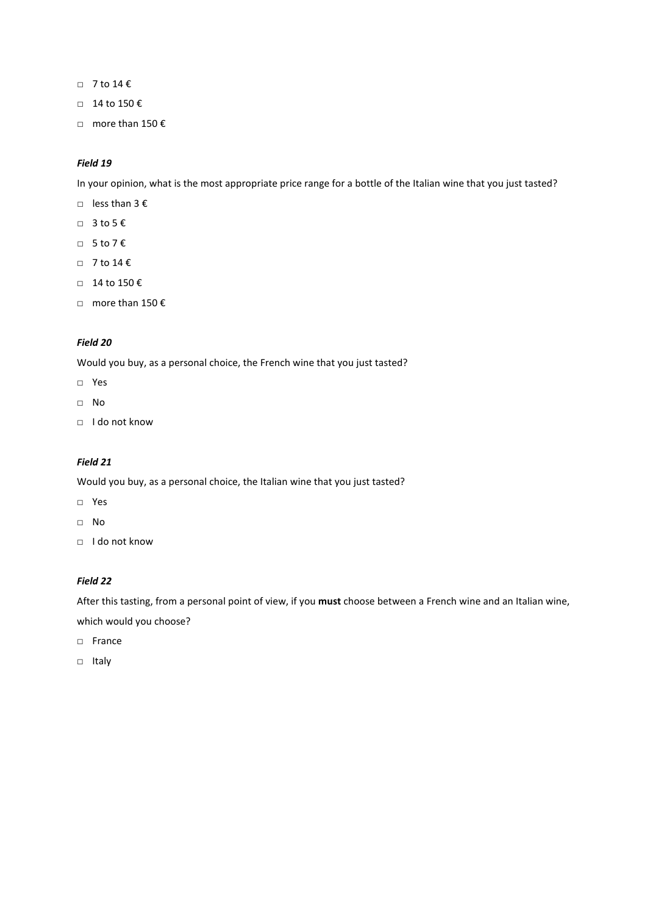- $\Box$  7 to 14  $\epsilon$
- □ 14 to 150 €
- □ more than 150 €

### *Field 19*

In your opinion, what is the most appropriate price range for a bottle of the Italian wine that you just tasted?

- □ less than 3 €
- $\Box$  3 to 5  $\epsilon$
- □ 5 to 7 €
- □ 7 to 14 €
- □ 14 to 150 €
- □ more than 150 €

### *Field 20*

Would you buy, as a personal choice, the French wine that you just tasted?

- □ Yes
- □ No
- □ I do not know

### *Field 21*

Would you buy, as a personal choice, the Italian wine that you just tasted?

- □ Yes
- □ No
- □ I do not know

# *Field 22*

After this tasting, from a personal point of view, if you **must** choose between a French wine and an Italian wine, which would you choose?

- □ France
- □ Italy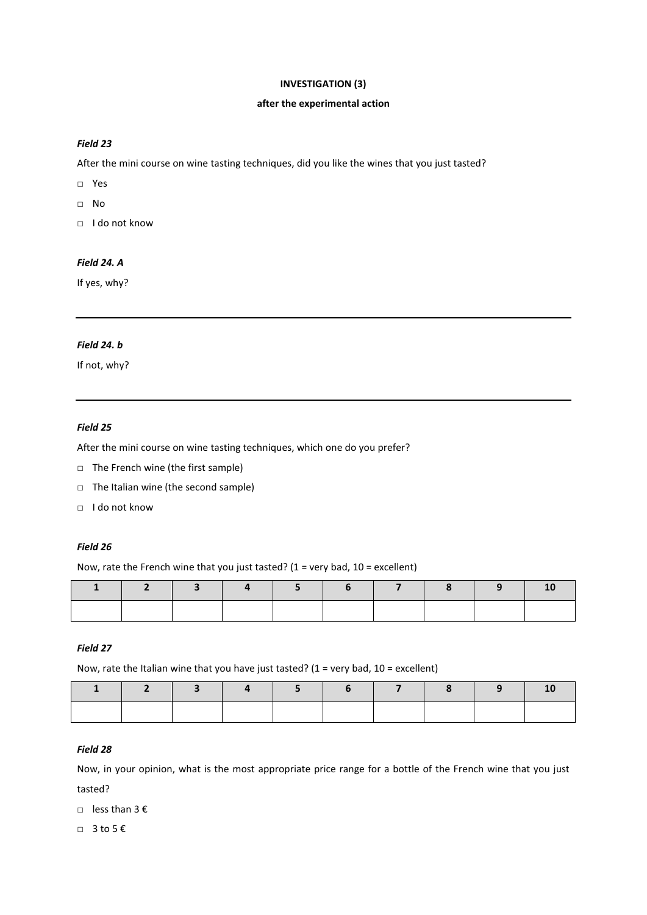#### **INVESTIGATION (3)**

#### **after the experimental action**

#### *Field 23*

After the mini course on wine tasting techniques, did you like the wines that you just tasted?

□ Yes

□ No

 $\Box$  I do not know

#### *Field 24. A*

If yes, why?

#### *Field 24. b*

If not, why?

#### *Field 25*

After the mini course on wine tasting techniques, which one do you prefer?

- □ The French wine (the first sample)
- □ The Italian wine (the second sample)
- □ I do not know

# *Field 26*

Now, rate the French wine that you just tasted? ( $1$  = very bad,  $10$  = excellent)

|  |  |  | 2   3   4   5   6   7   8   9   1 |  |  |
|--|--|--|-----------------------------------|--|--|
|  |  |  |                                   |  |  |

#### *Field 27*

Now, rate the Italian wine that you have just tasted? ( $1$  = very bad,  $10$  = excellent)

|  |  |  | 2   3   4   5   6   7   8   9   1 |  |  |
|--|--|--|-----------------------------------|--|--|
|  |  |  |                                   |  |  |

#### *Field 28*

Now, in your opinion, what is the most appropriate price range for a bottle of the French wine that you just tasted?

 $\Box$  less than 3  $\epsilon$ 

□ 3 to 5 €